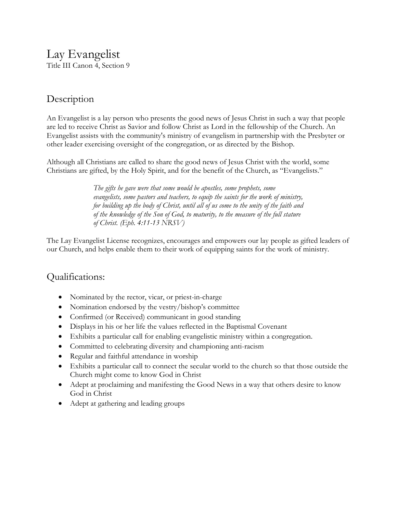## Description

An Evangelist is a lay person who presents the good news of Jesus Christ in such a way that people are led to receive Christ as Savior and follow Christ as Lord in the fellowship of the Church. An Evangelist assists with the community's ministry of evangelism in partnership with the Presbyter or other leader exercising oversight of the congregation, or as directed by the Bishop.

Although all Christians are called to share the good news of Jesus Christ with the world, some Christians are gifted, by the Holy Spirit, and for the benefit of the Church, as "Evangelists."

> *The gifts he gave were that some would be apostles, some prophets, some evangelists, some pastors and teachers, to equip the saints for the work of ministry, for building up the body of Christ, until all of us come to the unity of the faith and of the knowledge of the Son of God, to maturity, to the measure of the full stature of Christ. (Eph. 4:11-13 NRSV)*

The Lay Evangelist License recognizes, encourages and empowers our lay people as gifted leaders of our Church, and helps enable them to their work of equipping saints for the work of ministry.

## Qualifications:

- Nominated by the rector, vicar, or priest-in-charge
- Nomination endorsed by the vestry/bishop's committee
- Confirmed (or Received) communicant in good standing
- Displays in his or her life the values reflected in the Baptismal Covenant
- Exhibits a particular call for enabling evangelistic ministry within a congregation.
- Committed to celebrating diversity and championing anti-racism
- Regular and faithful attendance in worship
- Exhibits a particular call to connect the secular world to the church so that those outside the Church might come to know God in Christ
- Adept at proclaiming and manifesting the Good News in a way that others desire to know God in Christ
- Adept at gathering and leading groups